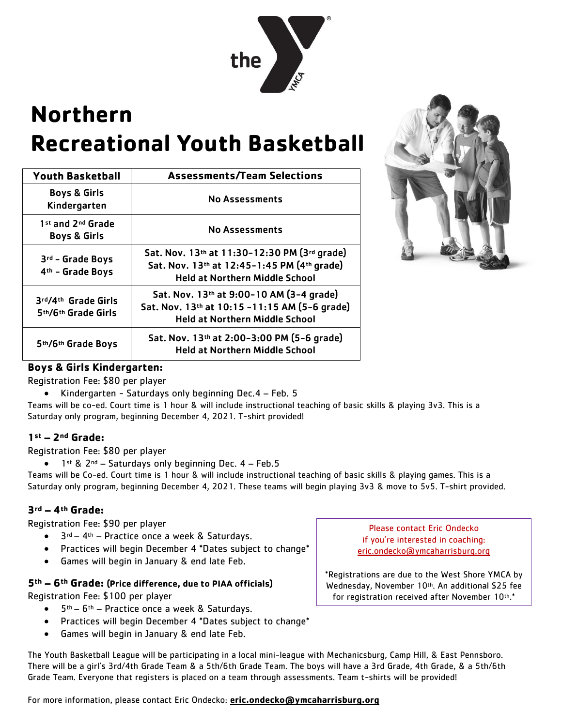

# **Northern Recreational Youth Basketball**

| <b>Youth Basketball</b>                      | <b>Assessments/Team Selections</b>                                                                                                   |  |  |  |  |
|----------------------------------------------|--------------------------------------------------------------------------------------------------------------------------------------|--|--|--|--|
| <b>Boys &amp; Girls</b><br>Kindergarten      | <b>No Assessments</b><br><b>No Assessments</b>                                                                                       |  |  |  |  |
| 1st and 2nd Grade<br><b>Boys &amp; Girls</b> |                                                                                                                                      |  |  |  |  |
| 3rd - Grade Boys<br>4th - Grade Boys         | Sat. Nov. 13th at 11:30-12:30 PM (3rd grade)<br>Sat. Nov. 13th at 12:45-1:45 PM (4th grade)<br><b>Held at Northern Middle School</b> |  |  |  |  |
| 3rd/4th Grade Girls<br>5th/6th Grade Girls   | Sat. Nov. 13th at 9:00-10 AM (3-4 grade)<br>Sat. Nov. 13th at 10:15 -11:15 AM (5-6 grade)<br><b>Held at Northern Middle School</b>   |  |  |  |  |
| 5th/6th Grade Boys                           | Sat. Nov. 13th at 2:00-3:00 PM (5-6 grade)<br><b>Held at Northern Middle School</b>                                                  |  |  |  |  |



### **Boys & Girls Kindergarten:**

Registration Fee: \$80 per player

Kindergarten - Saturdays only beginning Dec.4 – Feb. 5

Teams will be co-ed. Court time is 1 hour & will include instructional teaching of basic skills & playing 3v3. This is a Saturday only program, beginning December 4, 2021. T-shirt provided!

#### **1st – 2nd Grade:**

Registration Fee: \$80 per player

1<sup>st</sup> & 2<sup>nd</sup> – Saturdays only beginning Dec. 4 – Feb.5

Teams will be Co-ed. Court time is 1 hour & will include instructional teaching of basic skills & playing games. This is a Saturday only program, beginning December 4, 2021. These teams will begin playing 3v3 & move to 5v5. T-shirt provided.

#### **3rd – 4th Grade:**

Registration Fee: \$90 per player

- $\bullet$  3<sup>rd</sup> 4<sup>th</sup> Practice once a week & Saturdays.
- Practices will begin December 4 \*Dates subject to change\*
- Games will begin in January & end late Feb.

#### **5th – 6th Grade: (Price difference, due to PIAA officials)**

Registration Fee: \$100 per player

- 5th 6th Practice once a week & Saturdays.
- Practices will begin December 4 \*Dates subject to change\*
- Games will begin in January & end late Feb.

Please contact Eric Ondecko if you're interested in coaching: eric.ondecko@ymcaharrisburg.org

\*Registrations are due to the West Shore YMCA by Wednesday, November 10th. An additional \$25 fee for registration received after November 10th.\*

The Youth Basketball League will be participating in a local mini-league with Mechanicsburg, Camp Hill, & East Pennsboro. There will be a girl's 3rd/4th Grade Team & a 5th/6th Grade Team. The boys will have a 3rd Grade, 4th Grade, & a 5th/6th Grade Team. Everyone that registers is placed on a team through assessments. Team t-shirts will be provided!

For more information, please contact Eric Ondecko: **eric.ondecko@ymcaharrisburg.org**